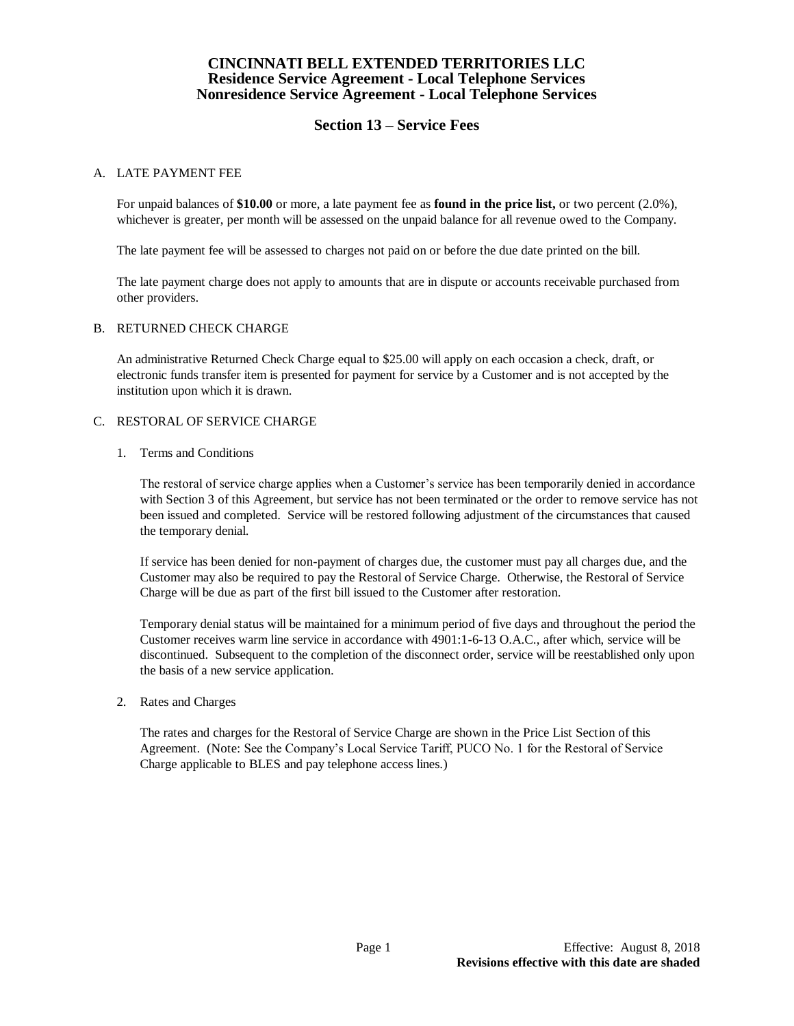# **Section 13 – Service Fees**

## A. LATE PAYMENT FEE

For unpaid balances of **\$10.00** or more, a late payment fee as **found in the price list,** or two percent (2.0%), whichever is greater, per month will be assessed on the unpaid balance for all revenue owed to the Company.

The late payment fee will be assessed to charges not paid on or before the due date printed on the bill.

The late payment charge does not apply to amounts that are in dispute or accounts receivable purchased from other providers.

## B. RETURNED CHECK CHARGE

An administrative Returned Check Charge equal to \$25.00 will apply on each occasion a check, draft, or electronic funds transfer item is presented for payment for service by a Customer and is not accepted by the institution upon which it is drawn.

## C. RESTORAL OF SERVICE CHARGE

1. Terms and Conditions

The restoral of service charge applies when a Customer's service has been temporarily denied in accordance with Section 3 of this Agreement, but service has not been terminated or the order to remove service has not been issued and completed. Service will be restored following adjustment of the circumstances that caused the temporary denial.

If service has been denied for non-payment of charges due, the customer must pay all charges due, and the Customer may also be required to pay the Restoral of Service Charge. Otherwise, the Restoral of Service Charge will be due as part of the first bill issued to the Customer after restoration.

Temporary denial status will be maintained for a minimum period of five days and throughout the period the Customer receives warm line service in accordance with 4901:1-6-13 O.A.C., after which, service will be discontinued. Subsequent to the completion of the disconnect order, service will be reestablished only upon the basis of a new service application.

2. Rates and Charges

The rates and charges for the Restoral of Service Charge are shown in the Price List Section of this Agreement. (Note: See the Company's Local Service Tariff, PUCO No. 1 for the Restoral of Service Charge applicable to BLES and pay telephone access lines.)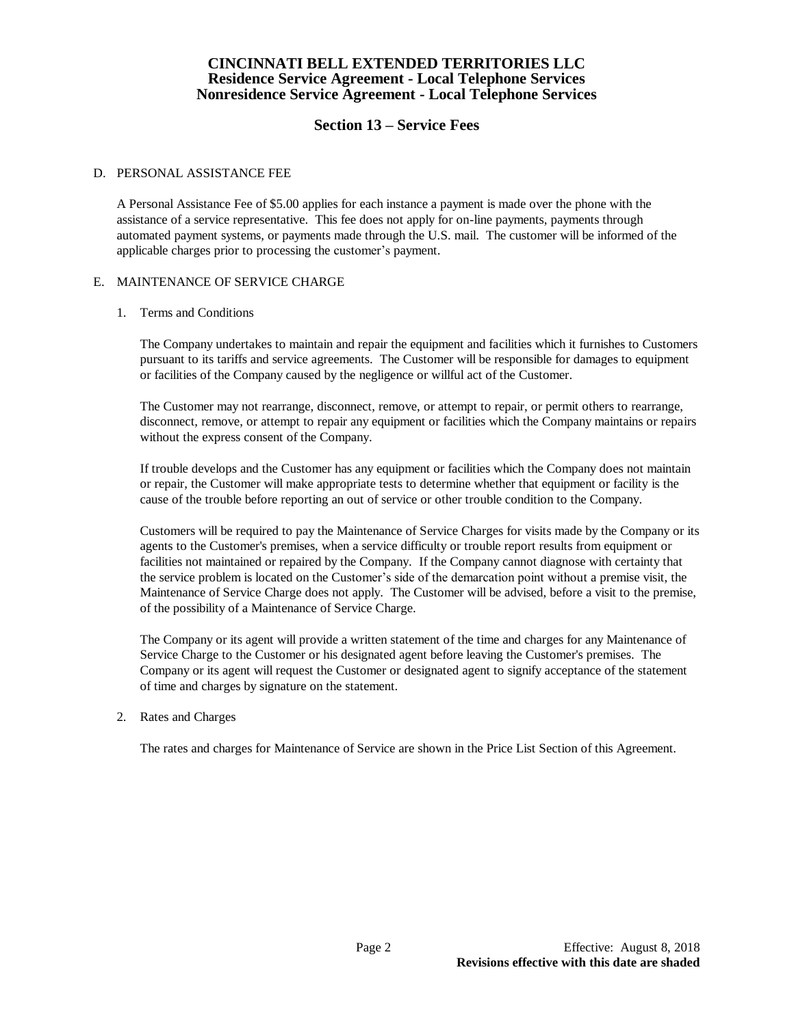# **Section 13 – Service Fees**

#### D. PERSONAL ASSISTANCE FEE

A Personal Assistance Fee of \$5.00 applies for each instance a payment is made over the phone with the assistance of a service representative. This fee does not apply for on-line payments, payments through automated payment systems, or payments made through the U.S. mail. The customer will be informed of the applicable charges prior to processing the customer's payment.

## E. MAINTENANCE OF SERVICE CHARGE

#### 1. Terms and Conditions

The Company undertakes to maintain and repair the equipment and facilities which it furnishes to Customers pursuant to its tariffs and service agreements. The Customer will be responsible for damages to equipment or facilities of the Company caused by the negligence or willful act of the Customer.

The Customer may not rearrange, disconnect, remove, or attempt to repair, or permit others to rearrange, disconnect, remove, or attempt to repair any equipment or facilities which the Company maintains or repairs without the express consent of the Company.

If trouble develops and the Customer has any equipment or facilities which the Company does not maintain or repair, the Customer will make appropriate tests to determine whether that equipment or facility is the cause of the trouble before reporting an out of service or other trouble condition to the Company.

Customers will be required to pay the Maintenance of Service Charges for visits made by the Company or its agents to the Customer's premises, when a service difficulty or trouble report results from equipment or facilities not maintained or repaired by the Company. If the Company cannot diagnose with certainty that the service problem is located on the Customer's side of the demarcation point without a premise visit, the Maintenance of Service Charge does not apply. The Customer will be advised, before a visit to the premise, of the possibility of a Maintenance of Service Charge.

The Company or its agent will provide a written statement of the time and charges for any Maintenance of Service Charge to the Customer or his designated agent before leaving the Customer's premises. The Company or its agent will request the Customer or designated agent to signify acceptance of the statement of time and charges by signature on the statement.

## 2. Rates and Charges

The rates and charges for Maintenance of Service are shown in the Price List Section of this Agreement.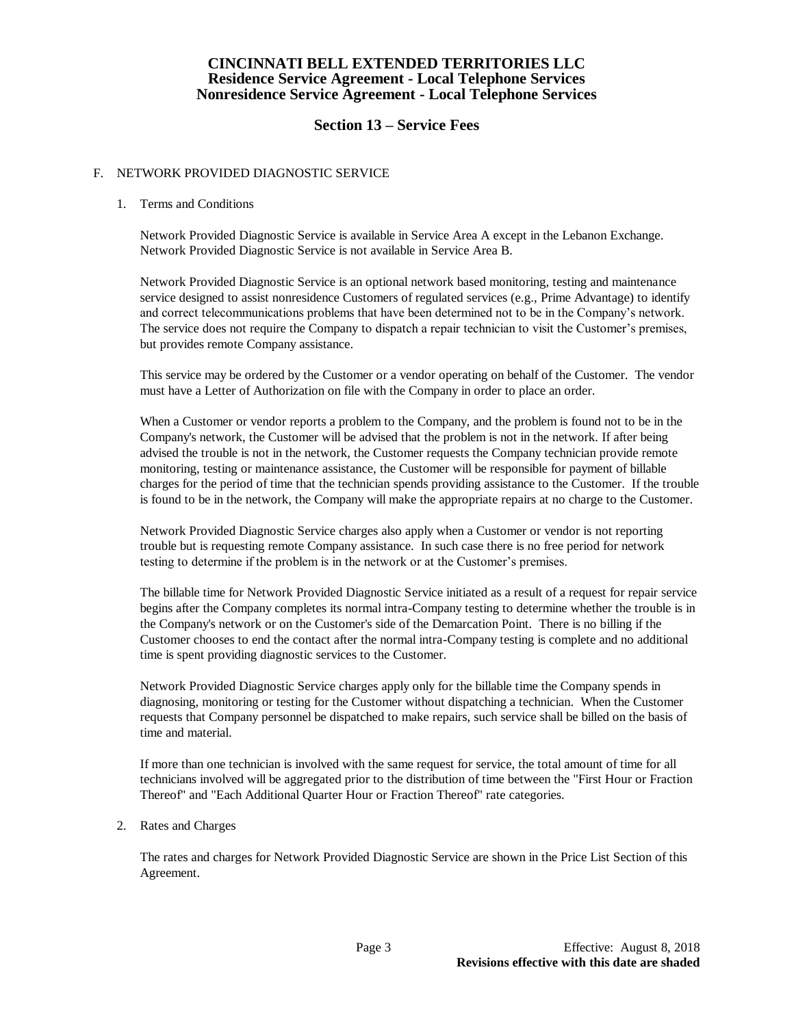# **Section 13 – Service Fees**

## F. NETWORK PROVIDED DIAGNOSTIC SERVICE

## 1. Terms and Conditions

Network Provided Diagnostic Service is available in Service Area A except in the Lebanon Exchange. Network Provided Diagnostic Service is not available in Service Area B.

Network Provided Diagnostic Service is an optional network based monitoring, testing and maintenance service designed to assist nonresidence Customers of regulated services (e.g., Prime Advantage) to identify and correct telecommunications problems that have been determined not to be in the Company's network. The service does not require the Company to dispatch a repair technician to visit the Customer's premises, but provides remote Company assistance.

This service may be ordered by the Customer or a vendor operating on behalf of the Customer. The vendor must have a Letter of Authorization on file with the Company in order to place an order.

When a Customer or vendor reports a problem to the Company, and the problem is found not to be in the Company's network, the Customer will be advised that the problem is not in the network. If after being advised the trouble is not in the network, the Customer requests the Company technician provide remote monitoring, testing or maintenance assistance, the Customer will be responsible for payment of billable charges for the period of time that the technician spends providing assistance to the Customer. If the trouble is found to be in the network, the Company will make the appropriate repairs at no charge to the Customer.

Network Provided Diagnostic Service charges also apply when a Customer or vendor is not reporting trouble but is requesting remote Company assistance. In such case there is no free period for network testing to determine if the problem is in the network or at the Customer's premises.

The billable time for Network Provided Diagnostic Service initiated as a result of a request for repair service begins after the Company completes its normal intra-Company testing to determine whether the trouble is in the Company's network or on the Customer's side of the Demarcation Point. There is no billing if the Customer chooses to end the contact after the normal intra-Company testing is complete and no additional time is spent providing diagnostic services to the Customer.

Network Provided Diagnostic Service charges apply only for the billable time the Company spends in diagnosing, monitoring or testing for the Customer without dispatching a technician. When the Customer requests that Company personnel be dispatched to make repairs, such service shall be billed on the basis of time and material.

If more than one technician is involved with the same request for service, the total amount of time for all technicians involved will be aggregated prior to the distribution of time between the "First Hour or Fraction Thereof" and "Each Additional Quarter Hour or Fraction Thereof" rate categories.

## 2. Rates and Charges

The rates and charges for Network Provided Diagnostic Service are shown in the Price List Section of this Agreement.